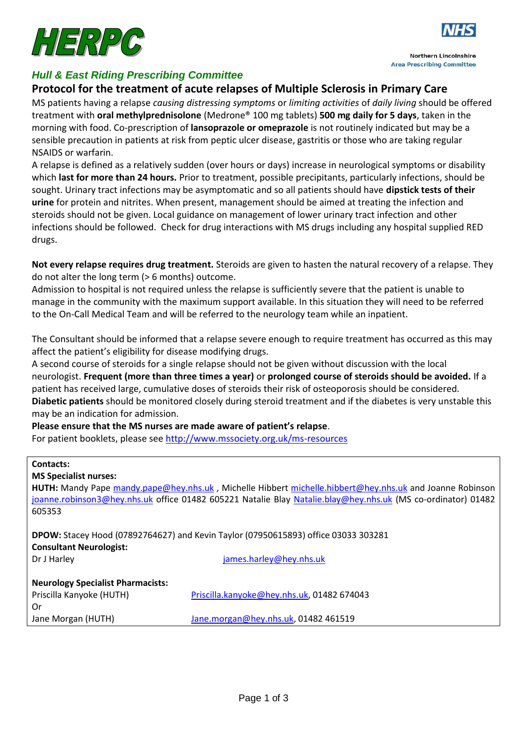

# *Hull & East Riding Prescribing Committee*

### **Protocol for the treatment of acute relapses of Multiple Sclerosis in Primary Care**

MS patients having a relapse *causing distressing symptoms* or *limiting activities* of *daily living* should be offered treatment with **oral methylprednisolone** (Medrone® 100 mg tablets) **500 mg daily for 5 days**, taken in the morning with food. Co-prescription of **lansoprazole or omeprazole** is not routinely indicated but may be a sensible precaution in patients at risk from peptic ulcer disease, gastritis or those who are taking regular NSAIDS or warfarin.

A relapse is defined as a relatively sudden (over hours or days) increase in neurological symptoms or disability which **last for more than 24 hours.** Prior to treatment, possible precipitants, particularly infections, should be sought. Urinary tract infections may be asymptomatic and so all patients should have **dipstick tests of their urine** for protein and nitrites. When present, management should be aimed at treating the infection and steroids should not be given. Local guidance on management of lower urinary tract infection and other infections should be followed. Check for drug interactions with MS drugs including any hospital supplied RED drugs.

**Not every relapse requires drug treatment.** Steroids are given to hasten the natural recovery of a relapse. They do not alter the long term (> 6 months) outcome.

Admission to hospital is not required unless the relapse is sufficiently severe that the patient is unable to manage in the community with the maximum support available. In this situation they will need to be referred to the On-Call Medical Team and will be referred to the neurology team while an inpatient.

The Consultant should be informed that a relapse severe enough to require treatment has occurred as this may affect the patient's eligibility for disease modifying drugs.

A second course of steroids for a single relapse should not be given without discussion with the local neurologist. **Frequent (more than three times a year)** or **prolonged course of steroids should be avoided.** If a patient has received large, cumulative doses of steroids their risk of osteoporosis should be considered. **Diabetic patients** should be monitored closely during steroid treatment and if the diabetes is very unstable this may be an indication for admission.

**Please ensure that the MS nurses are made aware of patient's relapse**.

For patient booklets, please see<http://www.mssociety.org.uk/ms-resources>

| <b>Contacts:</b>                                                                                                                                                                                                         |                                            |  |
|--------------------------------------------------------------------------------------------------------------------------------------------------------------------------------------------------------------------------|--------------------------------------------|--|
| <b>MS Specialist nurses:</b>                                                                                                                                                                                             |                                            |  |
| HUTH: Mandy Pape mandy.pape@hey.nhs.uk, Michelle Hibbert michelle.hibbert@hey.nhs.uk and Joanne Robinson<br>joanne.robinson3@hey.nhs.uk office 01482 605221 Natalie Blay Natalie.blay@hey.nhs.uk (MS co-ordinator) 01482 |                                            |  |
| 605353                                                                                                                                                                                                                   |                                            |  |
| <b>DPOW:</b> Stacey Hood (07892764627) and Kevin Taylor (07950615893) office 03033 303281<br><b>Consultant Neurologist:</b>                                                                                              |                                            |  |
| Dr J Harley                                                                                                                                                                                                              | james.harley@hey.nhs.uk                    |  |
| <b>Neurology Specialist Pharmacists:</b><br>Priscilla Kanyoke (HUTH)                                                                                                                                                     | Priscilla.kanyoke@hey.nhs.uk, 01482 674043 |  |
| 0r                                                                                                                                                                                                                       |                                            |  |
| Jane Morgan (HUTH)                                                                                                                                                                                                       | Jane.morgan@hey.nhs.uk, 01482 461519       |  |



**Northern Lincolnshire Area Prescribing Committee**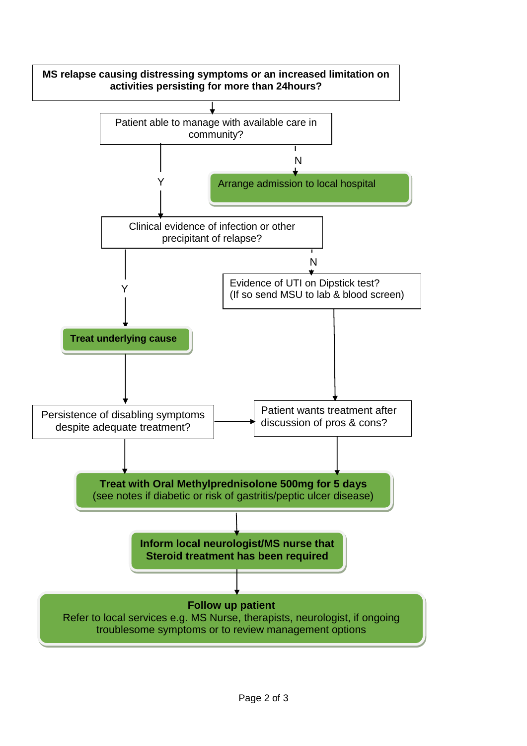